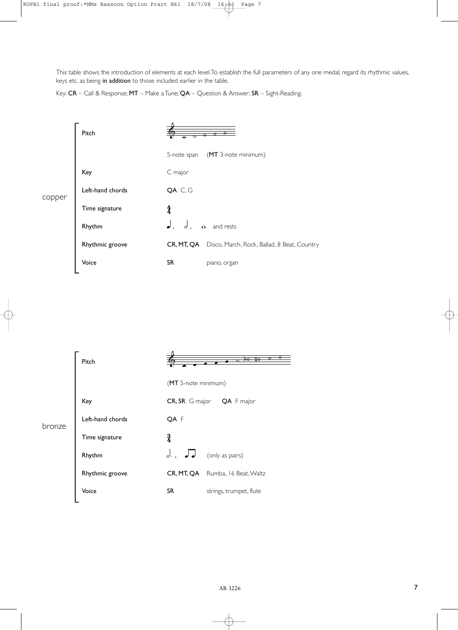This table shows the introduction of elements at each level. To establish the full parameters of any one medal, regard its rhythmic values, keys etc. as being in addition to those included earlier in the table.

Key: CR – Call & Response; MT – Make a Tune; QA – Question & Answer; SR – Sight-Reading.